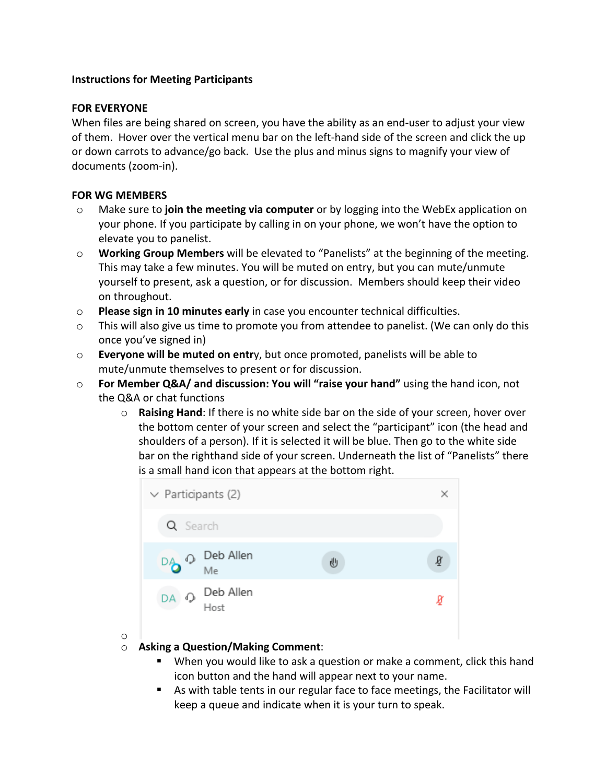## **Instructions for Meeting Participants**

## **FOR EVERYONE**

When files are being shared on screen, you have the ability as an end-user to adjust your view of them. Hover over the vertical menu bar on the left-hand side of the screen and click the up or down carrots to advance/go back. Use the plus and minus signs to magnify your view of documents (zoom-in).

## **FOR WG MEMBERS**

o

- o Make sure to **join the meeting via computer** or by logging into the WebEx application on your phone. If you participate by calling in on your phone, we won't have the option to elevate you to panelist.
- o **Working Group Members** will be elevated to "Panelists" at the beginning of the meeting. This may take a few minutes. You will be muted on entry, but you can mute/unmute yourself to present, ask a question, or for discussion. Members should keep their video on throughout.
- o **Please sign in 10 minutes early** in case you encounter technical difficulties.
- o This will also give us time to promote you from attendee to panelist. (We can only do this once you've signed in)
- o **Everyone will be muted on entr**y, but once promoted, panelists will be able to mute/unmute themselves to present or for discussion.
- o **For Member Q&A/ and discussion: You will "raise your hand"** using the hand icon, not the Q&A or chat functions
	- o **Raising Hand**: If there is no white side bar on the side of your screen, hover over the bottom center of your screen and select the "participant" icon (the head and shoulders of a person). If it is selected it will be blue. Then go to the white side bar on the righthand side of your screen. Underneath the list of "Panelists" there is a small hand icon that appears at the bottom right.



- o **Asking a Question/Making Comment**:
	- § When you would like to ask a question or make a comment, click this hand icon button and the hand will appear next to your name.
	- As with table tents in our regular face to face meetings, the Facilitator will keep a queue and indicate when it is your turn to speak.